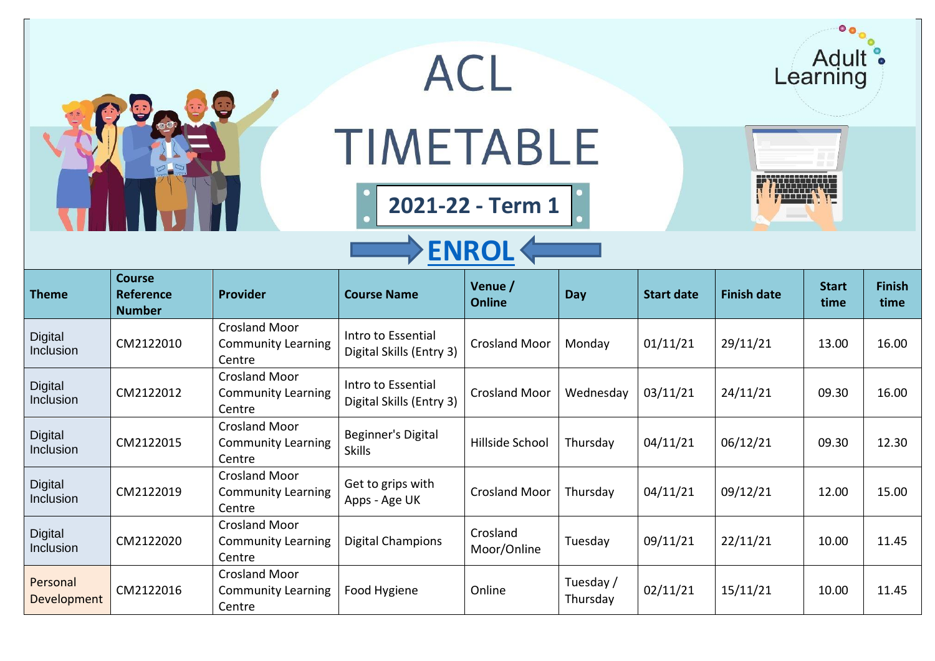| 0 <sub>o</sub><br>Adult<br>ACL<br>Learning<br><b>TIMETABLE</b><br>2021-22 - Term 1<br><b>ENROL</b> |                                                    |                                                             |                                                |                          |                       |                   |                    |                      |                       |  |
|----------------------------------------------------------------------------------------------------|----------------------------------------------------|-------------------------------------------------------------|------------------------------------------------|--------------------------|-----------------------|-------------------|--------------------|----------------------|-----------------------|--|
| <b>Theme</b>                                                                                       | <b>Course</b><br><b>Reference</b><br><b>Number</b> | Provider                                                    | <b>Course Name</b>                             | Venue /<br><b>Online</b> | Day                   | <b>Start date</b> | <b>Finish date</b> | <b>Start</b><br>time | <b>Finish</b><br>time |  |
| <b>Digital</b><br>Inclusion                                                                        | CM2122010                                          | <b>Crosland Moor</b><br><b>Community Learning</b><br>Centre | Intro to Essential<br>Digital Skills (Entry 3) | <b>Crosland Moor</b>     | Monday                | 01/11/21          | 29/11/21           | 13.00                | 16.00                 |  |
| Digital<br>Inclusion                                                                               | CM2122012                                          | <b>Crosland Moor</b><br><b>Community Learning</b><br>Centre | Intro to Essential<br>Digital Skills (Entry 3) | <b>Crosland Moor</b>     | Wednesday             | 03/11/21          | 24/11/21           | 09.30                | 16.00                 |  |
| <b>Digital</b><br>Inclusion                                                                        | CM2122015                                          | <b>Crosland Moor</b><br><b>Community Learning</b><br>Centre | Beginner's Digital<br><b>Skills</b>            | Hillside School          | Thursday              | 04/11/21          | 06/12/21           | 09.30                | 12.30                 |  |
| <b>Digital</b><br><b>Inclusion</b>                                                                 | CM2122019                                          | <b>Crosland Moor</b><br><b>Community Learning</b><br>Centre | Get to grips with<br>Apps - Age UK             | <b>Crosland Moor</b>     | Thursday              | 04/11/21          | 09/12/21           | 12.00                | 15.00                 |  |
| <b>Digital</b><br>Inclusion                                                                        | CM2122020                                          | <b>Crosland Moor</b><br><b>Community Learning</b><br>Centre | <b>Digital Champions</b>                       | Crosland<br>Moor/Online  | Tuesday               | 09/11/21          | 22/11/21           | 10.00                | 11.45                 |  |
| Personal<br>Development                                                                            | CM2122016                                          | <b>Crosland Moor</b><br><b>Community Learning</b><br>Centre | Food Hygiene                                   | Online                   | Tuesday /<br>Thursday | 02/11/21          | 15/11/21           | 10.00                | 11.45                 |  |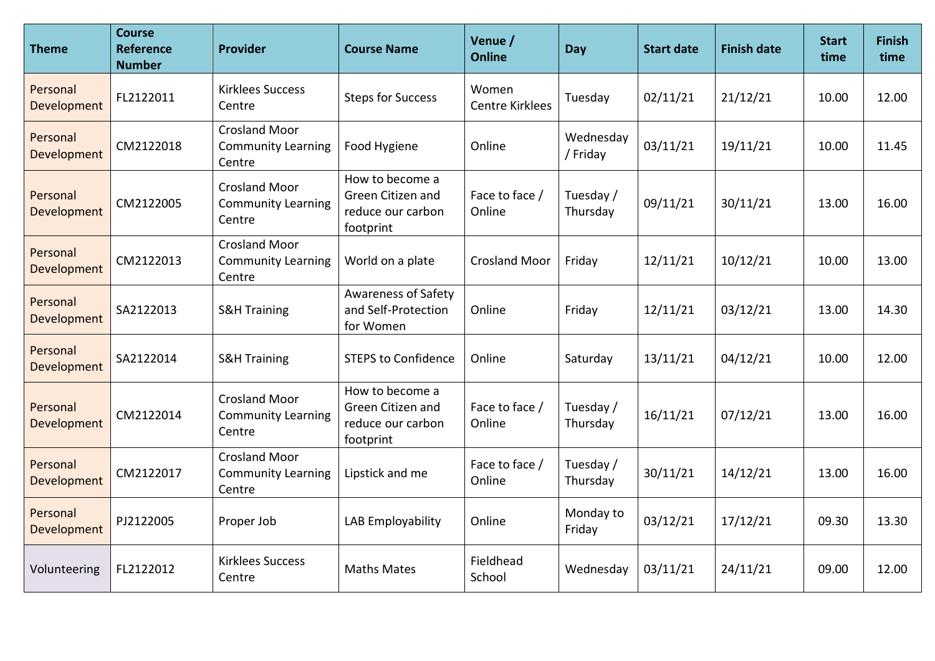| <b>Theme</b>            | <b>Course</b><br>Reference<br><b>Number</b> | <b>Provider</b>                                             | <b>Course Name</b>                                                     | Venue /<br><b>Online</b>        | Day                   | <b>Start date</b> | <b>Finish date</b> | <b>Start</b><br>time | <b>Finish</b><br>time |
|-------------------------|---------------------------------------------|-------------------------------------------------------------|------------------------------------------------------------------------|---------------------------------|-----------------------|-------------------|--------------------|----------------------|-----------------------|
| Personal<br>Development | FL2122011                                   | <b>Kirklees Success</b><br>Centre                           | <b>Steps for Success</b>                                               | Women<br><b>Centre Kirklees</b> | Tuesday               | 02/11/21          | 21/12/21           | 10.00                | 12.00                 |
| Personal<br>Development | CM2122018                                   | <b>Crosland Moor</b><br><b>Community Learning</b><br>Centre | Food Hygiene                                                           | Online                          | Wednesday<br>/ Friday | 03/11/21          | 19/11/21           | 10.00                | 11.45                 |
| Personal<br>Development | CM2122005                                   | <b>Crosland Moor</b><br><b>Community Learning</b><br>Centre | How to become a<br>Green Citizen and<br>reduce our carbon<br>footprint | Face to face /<br>Online        | Tuesday /<br>Thursday | 09/11/21          | 30/11/21           | 13.00                | 16.00                 |
| Personal<br>Development | CM2122013                                   | <b>Crosland Moor</b><br><b>Community Learning</b><br>Centre | World on a plate                                                       | <b>Crosland Moor</b>            | Friday                | 12/11/21          | 10/12/21           | 10.00                | 13.00                 |
| Personal<br>Development | SA2122013                                   | <b>S&amp;H Training</b>                                     | <b>Awareness of Safety</b><br>and Self-Protection<br>for Women         | Online                          | Friday                | 12/11/21          | 03/12/21           | 13.00                | 14.30                 |
| Personal<br>Development | SA2122014                                   | <b>S&amp;H Training</b>                                     | <b>STEPS to Confidence</b>                                             | Online                          | Saturday              | 13/11/21          | 04/12/21           | 10.00                | 12.00                 |
| Personal<br>Development | CM2122014                                   | <b>Crosland Moor</b><br><b>Community Learning</b><br>Centre | How to become a<br>Green Citizen and<br>reduce our carbon<br>footprint | Face to face /<br>Online        | Tuesday /<br>Thursday | 16/11/21          | 07/12/21           | 13.00                | 16.00                 |
| Personal<br>Development | CM2122017                                   | <b>Crosland Moor</b><br><b>Community Learning</b><br>Centre | Lipstick and me                                                        | Face to face /<br>Online        | Tuesday /<br>Thursday | 30/11/21          | 14/12/21           | 13.00                | 16.00                 |
| Personal<br>Development | PJ2122005                                   | Proper Job                                                  | LAB Employability                                                      | Online                          | Monday to<br>Friday   | 03/12/21          | 17/12/21           | 09.30                | 13.30                 |
| Volunteering            | FL2122012                                   | <b>Kirklees Success</b><br>Centre                           | <b>Maths Mates</b>                                                     | Fieldhead<br>School             | Wednesday             | 03/11/21          | 24/11/21           | 09.00                | 12.00                 |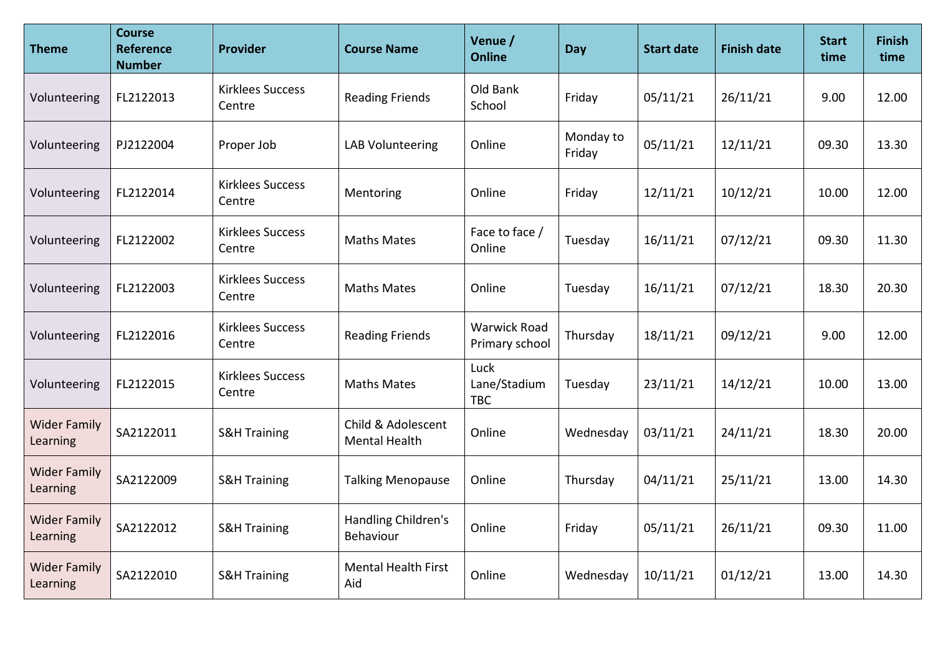| <b>Theme</b>                    | <b>Course</b><br><b>Reference</b><br><b>Number</b> | Provider                          | <b>Course Name</b>                         | Venue /<br><b>Online</b>              | Day                 | <b>Start date</b> | <b>Finish date</b> | <b>Start</b><br>time | <b>Finish</b><br>time |
|---------------------------------|----------------------------------------------------|-----------------------------------|--------------------------------------------|---------------------------------------|---------------------|-------------------|--------------------|----------------------|-----------------------|
| Volunteering                    | FL2122013                                          | <b>Kirklees Success</b><br>Centre | <b>Reading Friends</b>                     | Old Bank<br>School                    | Friday              | 05/11/21          | 26/11/21           | 9.00                 | 12.00                 |
| Volunteering                    | PJ2122004                                          | Proper Job                        | <b>LAB Volunteering</b>                    | Online                                | Monday to<br>Friday | 05/11/21          | 12/11/21           | 09.30                | 13.30                 |
| Volunteering                    | FL2122014                                          | <b>Kirklees Success</b><br>Centre | Mentoring                                  | Online                                | Friday              | 12/11/21          | 10/12/21           | 10.00                | 12.00                 |
| Volunteering                    | FL2122002                                          | <b>Kirklees Success</b><br>Centre | <b>Maths Mates</b>                         | Face to face /<br>Online              | Tuesday             | 16/11/21          | 07/12/21           | 09.30                | 11.30                 |
| Volunteering                    | FL2122003                                          | <b>Kirklees Success</b><br>Centre | <b>Maths Mates</b>                         | Online                                | Tuesday             | 16/11/21          | 07/12/21           | 18.30                | 20.30                 |
| Volunteering                    | FL2122016                                          | <b>Kirklees Success</b><br>Centre | <b>Reading Friends</b>                     | <b>Warwick Road</b><br>Primary school | Thursday            | 18/11/21          | 09/12/21           | 9.00                 | 12.00                 |
| Volunteering                    | FL2122015                                          | <b>Kirklees Success</b><br>Centre | <b>Maths Mates</b>                         | Luck<br>Lane/Stadium<br><b>TBC</b>    | Tuesday             | 23/11/21          | 14/12/21           | 10.00                | 13.00                 |
| <b>Wider Family</b><br>Learning | SA2122011                                          | <b>S&amp;H Training</b>           | Child & Adolescent<br><b>Mental Health</b> | Online                                | Wednesday           | 03/11/21          | 24/11/21           | 18.30                | 20.00                 |
| <b>Wider Family</b><br>Learning | SA2122009                                          | <b>S&amp;H Training</b>           | <b>Talking Menopause</b>                   | Online                                | Thursday            | 04/11/21          | 25/11/21           | 13.00                | 14.30                 |
| <b>Wider Family</b><br>Learning | SA2122012                                          | <b>S&amp;H Training</b>           | Handling Children's<br>Behaviour           | Online                                | Friday              | 05/11/21          | 26/11/21           | 09.30                | 11.00                 |
| <b>Wider Family</b><br>Learning | SA2122010                                          | <b>S&amp;H Training</b>           | <b>Mental Health First</b><br>Aid          | Online                                | Wednesday           | 10/11/21          | 01/12/21           | 13.00                | 14.30                 |